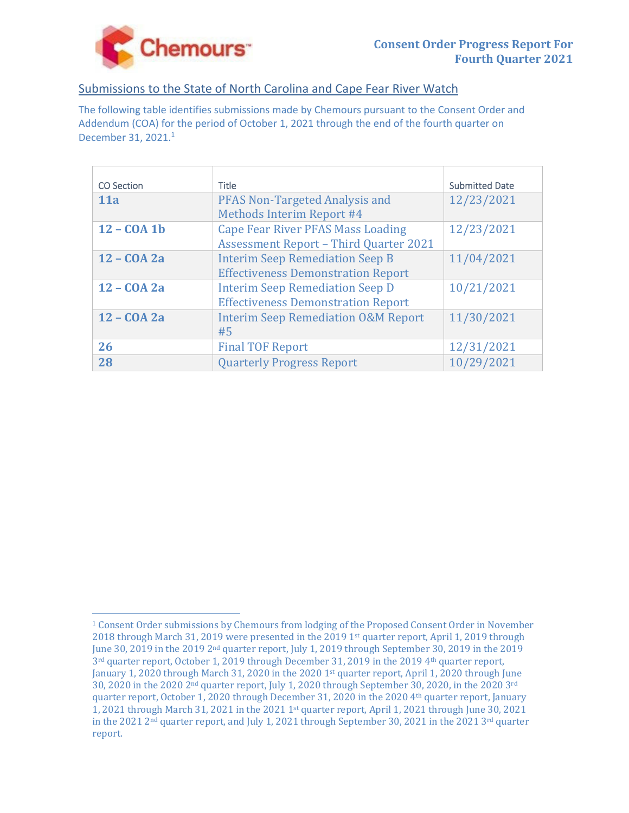

# Submissions to the State of North Carolina and Cape Fear River Watch

The following table identifies submissions made by Chemours pursuant to the Consent Order and Addendum (COA) for the period of October 1, 2021 through the end of the fourth quarter on December 31, 2021.<sup>1</sup>

| <b>CO</b> Section | <b>Title</b>                                   | <b>Submitted Date</b> |
|-------------------|------------------------------------------------|-----------------------|
| 11a               | <b>PFAS Non-Targeted Analysis and</b>          | 12/23/2021            |
|                   | Methods Interim Report #4                      |                       |
| $12 - COA1b$      | <b>Cape Fear River PFAS Mass Loading</b>       | 12/23/2021            |
|                   | <b>Assessment Report - Third Quarter 2021</b>  |                       |
| 12 - COA 2a       | <b>Interim Seep Remediation Seep B</b>         | 11/04/2021            |
|                   | <b>Effectiveness Demonstration Report</b>      |                       |
| 12 - COA 2a       | <b>Interim Seep Remediation Seep D</b>         | 10/21/2021            |
|                   | <b>Effectiveness Demonstration Report</b>      |                       |
| 12 - COA 2a       | <b>Interim Seep Remediation O&amp;M Report</b> | 11/30/2021            |
|                   | #5                                             |                       |
| 26                | <b>Final TOF Report</b>                        | 12/31/2021            |
| 28                | <b>Quarterly Progress Report</b>               | 10/29/2021            |

<sup>1</sup> Consent Order submissions by Chemours from lodging of the Proposed Consent Order in November 2018 through March 31, 2019 were presented in the 2019 1st quarter report, April 1, 2019 through June 30, 2019 in the 2019 2nd quarter report, July 1, 2019 through September 30, 2019 in the 2019  $3<sup>rd</sup>$  quarter report, October 1, 2019 through December 31, 2019 in the 2019 4<sup>th</sup> quarter report, January 1, 2020 through March 31, 2020 in the 2020 1<sup>st</sup> quarter report, April 1, 2020 through June 30, 2020 in the 2020 2nd quarter report, July 1, 2020 through September 30, 2020, in the 2020 3rd quarter report, October 1, 2020 through December 31, 2020 in the 2020 4<sup>th</sup> quarter report, January 1, 2021 through March 31, 2021 in the 2021 1st quarter report, April 1, 2021 through June 30, 2021 in the 2021  $2<sup>nd</sup>$  quarter report, and July 1, 2021 through September 30, 2021 in the 2021  $3<sup>rd</sup>$  quarter report.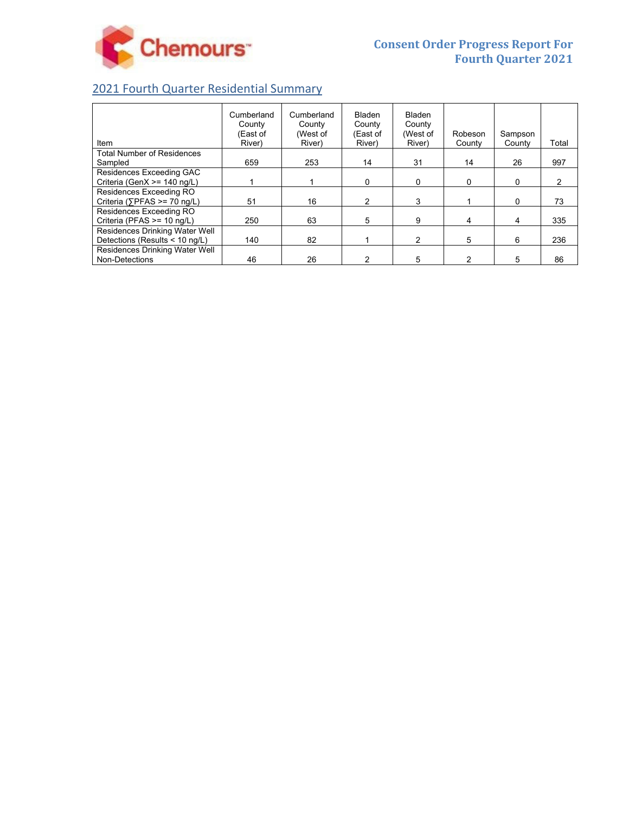

# 2021 Fourth Quarter Residential Summary

| Item                                  | Cumberland<br>County<br>(East of<br>River) | Cumberland<br>County<br>(West of<br>River) | <b>Bladen</b><br>County<br>(East of<br>River) | <b>Bladen</b><br>County<br>(West of<br>River) | Robeson<br>County | Sampson<br>County | Total |
|---------------------------------------|--------------------------------------------|--------------------------------------------|-----------------------------------------------|-----------------------------------------------|-------------------|-------------------|-------|
| <b>Total Number of Residences</b>     |                                            |                                            |                                               |                                               |                   |                   |       |
| Sampled                               | 659                                        | 253                                        | 14                                            | 31                                            | 14                | 26                | 997   |
| Residences Exceeding GAC              |                                            |                                            |                                               |                                               |                   |                   |       |
| Criteria (GenX >= 140 ng/L)           |                                            |                                            | 0                                             | 0                                             | 0                 | 0                 | 2     |
| Residences Exceeding RO               |                                            |                                            |                                               |                                               |                   |                   |       |
| Criteria ( $\sqrt{P}FAS \ge 70$ ng/L) | 51                                         | 16                                         | 2                                             | 3                                             |                   | 0                 | 73    |
| Residences Exceeding RO               |                                            |                                            |                                               |                                               |                   |                   |       |
| Criteria (PFAS >= 10 ng/L)            | 250                                        | 63                                         | 5                                             | 9                                             | 4                 | 4                 | 335   |
| Residences Drinking Water Well        |                                            |                                            |                                               |                                               |                   |                   |       |
| Detections (Results < 10 ng/L)        | 140                                        | 82                                         |                                               | 2                                             | 5                 | 6                 | 236   |
| Residences Drinking Water Well        |                                            |                                            |                                               |                                               |                   |                   |       |
| Non-Detections                        | 46                                         | 26                                         |                                               | 5                                             |                   | 5                 | 86    |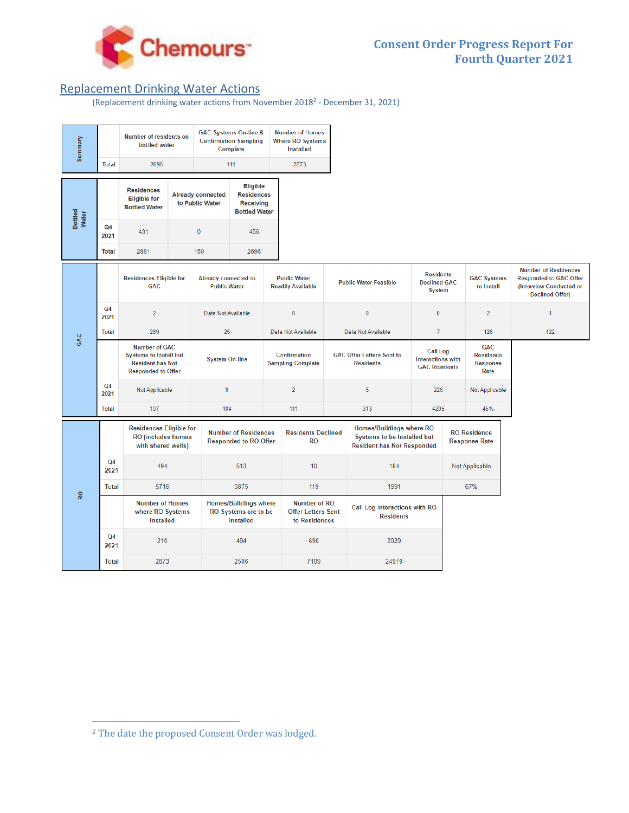

# Replacement Drinking Water Actions

#### (Replacement drinking water actions from November 20182 ‐ December 31, 2021)

| Summary          |                        | Number of residents on<br>bottled water                                                                       |                                                 |                                                                          | <b>GAC Systems On-line &amp;</b><br><b>Confirmation Sampling</b><br>Complete                                                            |                                                                   | <b>Number of Homes</b><br><b>Where RO Systems</b><br><b>Installed</b> |                                                                                                     |                                                                                          |                                                                     |                       |                                                           |                                                                                                                   |
|------------------|------------------------|---------------------------------------------------------------------------------------------------------------|-------------------------------------------------|--------------------------------------------------------------------------|-----------------------------------------------------------------------------------------------------------------------------------------|-------------------------------------------------------------------|-----------------------------------------------------------------------|-----------------------------------------------------------------------------------------------------|------------------------------------------------------------------------------------------|---------------------------------------------------------------------|-----------------------|-----------------------------------------------------------|-------------------------------------------------------------------------------------------------------------------|
|                  | <b>Total</b>           | 2696                                                                                                          |                                                 |                                                                          | 111                                                                                                                                     |                                                                   | 2873                                                                  |                                                                                                     |                                                                                          |                                                                     |                       |                                                           |                                                                                                                   |
| Bottled<br>Water |                        | <b>Residences</b><br><b>Eligible for</b><br><b>Bottled Water</b>                                              |                                                 | <b>Already connected</b><br>to Public Water                              | Eligible<br><b>Residences</b><br><b>Receiving</b><br><b>Bottled Water</b>                                                               |                                                                   |                                                                       |                                                                                                     |                                                                                          |                                                                     |                       |                                                           |                                                                                                                   |
|                  | Q <sub>4</sub><br>2021 | 431                                                                                                           |                                                 | $\mathbf 0$                                                              | 456                                                                                                                                     |                                                                   |                                                                       |                                                                                                     |                                                                                          |                                                                     |                       |                                                           |                                                                                                                   |
|                  | <b>Total</b>           | 2881                                                                                                          |                                                 | 159                                                                      | 2696                                                                                                                                    |                                                                   |                                                                       |                                                                                                     |                                                                                          |                                                                     |                       |                                                           |                                                                                                                   |
| GAC              |                        | <b>Residences Eligible for</b><br><b>GAC</b>                                                                  |                                                 |                                                                          | <b>Public Water</b><br><b>Already connected to</b><br><b>Public Water</b><br><b>Readily Available</b>                                   |                                                                   |                                                                       |                                                                                                     | <b>Residents</b><br><b>Declined GAC</b><br><b>Public Water Feasible</b><br><b>System</b> |                                                                     |                       | <b>GAC Systems</b><br>to Install                          | <b>Number of Residences</b><br><b>Responded to GAC Offer</b><br>(Interview Conducted or<br><b>Declined Offer)</b> |
|                  | Q <sub>4</sub><br>2021 | $\overline{2}$                                                                                                |                                                 | Data Not Available                                                       |                                                                                                                                         |                                                                   | $\bf{0}$<br>$\bf{0}$                                                  |                                                                                                     | $\mathbf{0}$                                                                             |                                                                     | $\overline{2}$        | $\mathbf{1}$                                              |                                                                                                                   |
|                  | <b>Total</b>           | 269                                                                                                           |                                                 | 25                                                                       |                                                                                                                                         | Data Not Available                                                |                                                                       |                                                                                                     | Data Not Available                                                                       |                                                                     | $\overline{7}$<br>126 |                                                           | 122                                                                                                               |
|                  |                        | <b>Number of GAC</b><br><b>Systems to Install but</b><br><b>Resident has Not</b><br><b>Responded to Offer</b> |                                                 |                                                                          | <b>System On-line</b>                                                                                                                   |                                                                   | Confirmation<br><b>Sampling Complete</b>                              |                                                                                                     | <b>GAC Offer Letters Sent to</b><br><b>Residents</b>                                     | <b>Call Log</b><br><b>Interactions with</b><br><b>GAC Residents</b> |                       | <b>GAC</b><br><b>Residence</b><br><b>Response</b><br>Rate |                                                                                                                   |
|                  | Q <sub>4</sub><br>2021 | Not Applicable                                                                                                |                                                 | $\mathbf{0}$                                                             |                                                                                                                                         |                                                                   | $\overline{2}$<br>5                                                   |                                                                                                     | 226                                                                                      |                                                                     | Not Applicable        |                                                           |                                                                                                                   |
|                  | <b>Total</b>           | 107                                                                                                           |                                                 | 104                                                                      |                                                                                                                                         | 111                                                               |                                                                       | 313                                                                                                 |                                                                                          | 4205                                                                |                       | 45%                                                       |                                                                                                                   |
| <b>Q</b>         |                        |                                                                                                               | <b>RO</b> (includes homes<br>with shared wells) |                                                                          | <b>Residences Eligible for</b><br><b>Number of Residences</b><br><b>Residents Declined</b><br><b>RO</b><br><b>Responded to RO Offer</b> |                                                                   |                                                                       | Homes/Buildings where RO<br><b>Systems to be Installed but</b><br><b>Resident has Not Responded</b> |                                                                                          | <b>RO</b> Residence<br><b>Response Rate</b>                         |                       |                                                           |                                                                                                                   |
|                  | Q <sub>4</sub><br>2021 | 494                                                                                                           |                                                 |                                                                          | 513                                                                                                                                     |                                                                   | 10                                                                    | 184                                                                                                 |                                                                                          | Not Applicable                                                      |                       |                                                           |                                                                                                                   |
|                  | <b>Total</b>           | 5716                                                                                                          |                                                 | 3875                                                                     |                                                                                                                                         |                                                                   | 119                                                                   |                                                                                                     | 1591                                                                                     |                                                                     | 67%                   |                                                           |                                                                                                                   |
|                  |                        | <b>Number of Homes</b><br>where RO Systems<br>Installed                                                       |                                                 | <b>Homes/Buildings where</b><br>RO Systems are to be<br><b>Installed</b> |                                                                                                                                         | <b>Number of RO</b><br><b>Offer Letters Sent</b><br>to Residences |                                                                       | Call Log Interactions with RO<br><b>Residents</b>                                                   |                                                                                          |                                                                     |                       |                                                           |                                                                                                                   |
|                  | Q <sub>4</sub><br>2021 |                                                                                                               | 210                                             |                                                                          | 494                                                                                                                                     |                                                                   | 690                                                                   |                                                                                                     | 2029                                                                                     |                                                                     |                       |                                                           |                                                                                                                   |
|                  | <b>Total</b>           | 2873                                                                                                          |                                                 | 2506                                                                     |                                                                                                                                         | 7109                                                              |                                                                       | 24919                                                                                               |                                                                                          |                                                                     |                       |                                                           |                                                                                                                   |

<sup>2</sup> The date the proposed Consent Order was lodged.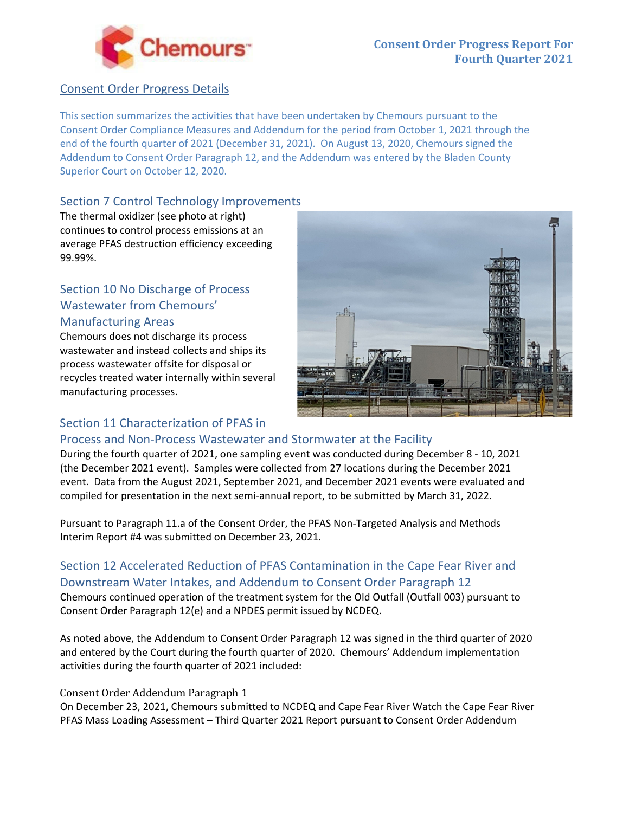

## Consent Order Progress Details

This section summarizes the activities that have been undertaken by Chemours pursuant to the Consent Order Compliance Measures and Addendum for the period from October 1, 2021 through the end of the fourth quarter of 2021 (December 31, 2021). On August 13, 2020, Chemours signed the Addendum to Consent Order Paragraph 12, and the Addendum was entered by the Bladen County Superior Court on October 12, 2020.

# Section 7 Control Technology Improvements

The thermal oxidizer (see photo at right) continues to control process emissions at an average PFAS destruction efficiency exceeding 99.99%.

# Section 10 No Discharge of Process Wastewater from Chemours' Manufacturing Areas

Chemours does not discharge its process wastewater and instead collects and ships its process wastewater offsite for disposal or recycles treated water internally within several manufacturing processes.



# Section 11 Characterization of PFAS in

# Process and Non‐Process Wastewater and Stormwater at the Facility

During the fourth quarter of 2021, one sampling event was conducted during December 8 ‐ 10, 2021 (the December 2021 event). Samples were collected from 27 locations during the December 2021 event. Data from the August 2021, September 2021, and December 2021 events were evaluated and compiled for presentation in the next semi‐annual report, to be submitted by March 31, 2022.

Pursuant to Paragraph 11.a of the Consent Order, the PFAS Non‐Targeted Analysis and Methods Interim Report #4 was submitted on December 23, 2021.

# Section 12 Accelerated Reduction of PFAS Contamination in the Cape Fear River and Downstream Water Intakes, and Addendum to Consent Order Paragraph 12

Chemours continued operation of the treatment system for the Old Outfall (Outfall 003) pursuant to Consent Order Paragraph 12(e) and a NPDES permit issued by NCDEQ.

As noted above, the Addendum to Consent Order Paragraph 12 was signed in the third quarter of 2020 and entered by the Court during the fourth quarter of 2020. Chemours' Addendum implementation activities during the fourth quarter of 2021 included:

## Consent Order Addendum Paragraph 1

On December 23, 2021, Chemours submitted to NCDEQ and Cape Fear River Watch the Cape Fear River PFAS Mass Loading Assessment – Third Quarter 2021 Report pursuant to Consent Order Addendum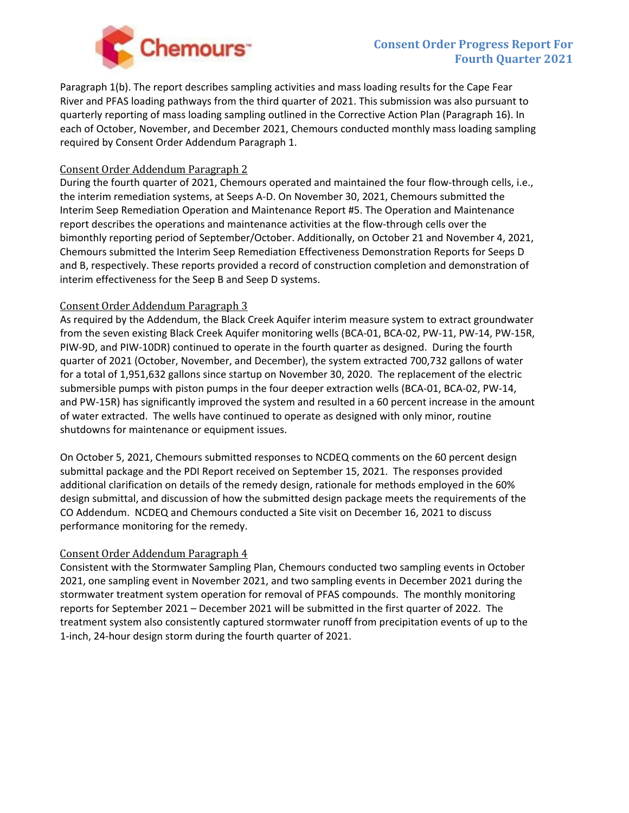

# **Consent Order Progress Report For Fourth Quarter 2021**

Paragraph 1(b). The report describes sampling activities and mass loading results for the Cape Fear River and PFAS loading pathways from the third quarter of 2021. This submission was also pursuant to quarterly reporting of mass loading sampling outlined in the Corrective Action Plan (Paragraph 16). In each of October, November, and December 2021, Chemours conducted monthly mass loading sampling required by Consent Order Addendum Paragraph 1.

#### Consent Order Addendum Paragraph 2

During the fourth quarter of 2021, Chemours operated and maintained the four flow-through cells, i.e., the interim remediation systems, at Seeps A‐D. On November 30, 2021, Chemours submitted the Interim Seep Remediation Operation and Maintenance Report #5. The Operation and Maintenance report describes the operations and maintenance activities at the flow‐through cells over the bimonthly reporting period of September/October. Additionally, on October 21 and November 4, 2021, Chemours submitted the Interim Seep Remediation Effectiveness Demonstration Reports for Seeps D and B, respectively. These reports provided a record of construction completion and demonstration of interim effectiveness for the Seep B and Seep D systems.

#### Consent Order Addendum Paragraph 3

As required by the Addendum, the Black Creek Aquifer interim measure system to extract groundwater from the seven existing Black Creek Aquifer monitoring wells (BCA‐01, BCA‐02, PW‐11, PW‐14, PW‐15R, PIW‐9D, and PIW‐10DR) continued to operate in the fourth quarter as designed. During the fourth quarter of 2021 (October, November, and December), the system extracted 700,732 gallons of water for a total of 1,951,632 gallons since startup on November 30, 2020. The replacement of the electric submersible pumps with piston pumps in the four deeper extraction wells (BCA‐01, BCA‐02, PW‐14, and PW-15R) has significantly improved the system and resulted in a 60 percent increase in the amount of water extracted. The wells have continued to operate as designed with only minor, routine shutdowns for maintenance or equipment issues.

On October 5, 2021, Chemours submitted responses to NCDEQ comments on the 60 percent design submittal package and the PDI Report received on September 15, 2021. The responses provided additional clarification on details of the remedy design, rationale for methods employed in the 60% design submittal, and discussion of how the submitted design package meets the requirements of the CO Addendum. NCDEQ and Chemours conducted a Site visit on December 16, 2021 to discuss performance monitoring for the remedy.

#### Consent Order Addendum Paragraph 4

Consistent with the Stormwater Sampling Plan, Chemours conducted two sampling events in October 2021, one sampling event in November 2021, and two sampling events in December 2021 during the stormwater treatment system operation for removal of PFAS compounds. The monthly monitoring reports for September 2021 – December 2021 will be submitted in the first quarter of 2022. The treatment system also consistently captured stormwater runoff from precipitation events of up to the 1‐inch, 24‐hour design storm during the fourth quarter of 2021.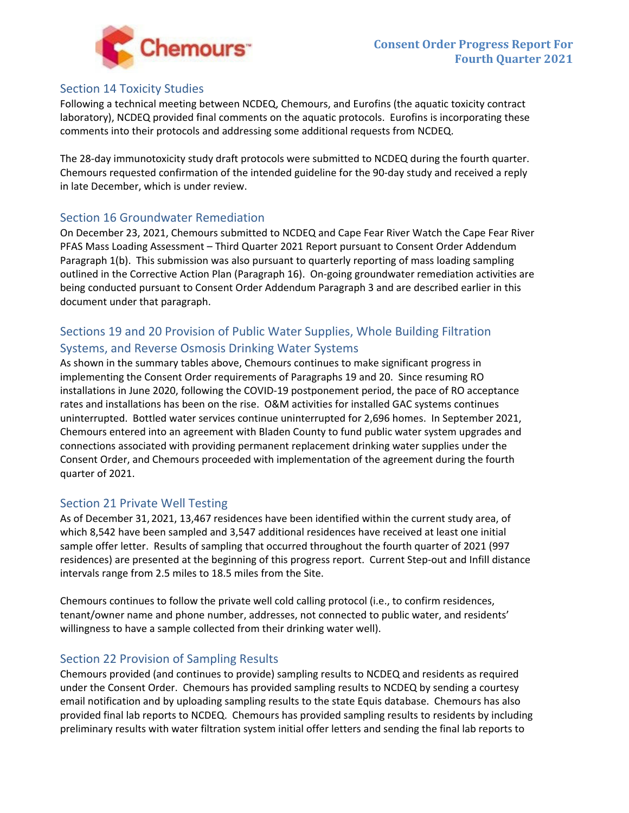

### Section 14 Toxicity Studies

Following a technical meeting between NCDEQ, Chemours, and Eurofins (the aquatic toxicity contract laboratory), NCDEQ provided final comments on the aquatic protocols. Eurofins is incorporating these comments into their protocols and addressing some additional requests from NCDEQ.

The 28-day immunotoxicity study draft protocols were submitted to NCDEQ during the fourth quarter. Chemours requested confirmation of the intended guideline for the 90‐day study and received a reply in late December, which is under review.

### Section 16 Groundwater Remediation

On December 23, 2021, Chemours submitted to NCDEQ and Cape Fear River Watch the Cape Fear River PFAS Mass Loading Assessment – Third Quarter 2021 Report pursuant to Consent Order Addendum Paragraph 1(b). This submission was also pursuant to quarterly reporting of mass loading sampling outlined in the Corrective Action Plan (Paragraph 16). On‐going groundwater remediation activities are being conducted pursuant to Consent Order Addendum Paragraph 3 and are described earlier in this document under that paragraph.

# Sections 19 and 20 Provision of Public Water Supplies, Whole Building Filtration Systems, and Reverse Osmosis Drinking Water Systems

As shown in the summary tables above, Chemours continues to make significant progress in implementing the Consent Order requirements of Paragraphs 19 and 20. Since resuming RO installations in June 2020, following the COVID‐19 postponement period, the pace of RO acceptance rates and installations has been on the rise. O&M activities for installed GAC systems continues uninterrupted. Bottled water services continue uninterrupted for 2,696 homes. In September 2021, Chemours entered into an agreement with Bladen County to fund public water system upgrades and connections associated with providing permanent replacement drinking water supplies under the Consent Order, and Chemours proceeded with implementation of the agreement during the fourth quarter of 2021.

#### Section 21 Private Well Testing

As of December 31, 2021, 13,467 residences have been identified within the current study area, of which 8,542 have been sampled and 3,547 additional residences have received at least one initial sample offer letter. Results of sampling that occurred throughout the fourth quarter of 2021 (997 residences) are presented at the beginning of this progress report. Current Step-out and Infill distance intervals range from 2.5 miles to 18.5 miles from the Site.

Chemours continues to follow the private well cold calling protocol (i.e., to confirm residences, tenant/owner name and phone number, addresses, not connected to public water, and residents' willingness to have a sample collected from their drinking water well).

## Section 22 Provision of Sampling Results

Chemours provided (and continues to provide) sampling results to NCDEQ and residents as required under the Consent Order. Chemours has provided sampling results to NCDEQ by sending a courtesy email notification and by uploading sampling results to the state Equis database. Chemours has also provided final lab reports to NCDEQ. Chemours has provided sampling results to residents by including preliminary results with water filtration system initial offer letters and sending the final lab reports to